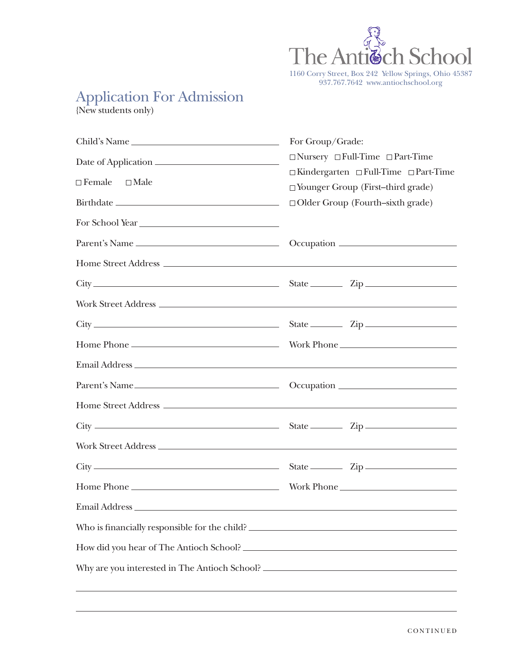

1160 Corry Street, Box 242 Yellow Springs, Ohio 45387 937.767.7642 www.antiochschool.org

## Application For Admission

{New students only)

| Child's Name                                  | For Group/Grade:                                                                             |  |  |
|-----------------------------------------------|----------------------------------------------------------------------------------------------|--|--|
|                                               | $\Box$ Nursery $\Box$ Full-Time $\Box$ Part-Time                                             |  |  |
|                                               | $\Box$ Kindergarten $\Box$ Full-Time $\Box$ Part-Time<br>□ Younger Group (First-third grade) |  |  |
| $\Box$ Female<br>$\square$ Male               |                                                                                              |  |  |
|                                               | $\Box$ Older Group (Fourth-sixth grade)                                                      |  |  |
| For School Year                               |                                                                                              |  |  |
|                                               |                                                                                              |  |  |
|                                               |                                                                                              |  |  |
|                                               |                                                                                              |  |  |
|                                               |                                                                                              |  |  |
|                                               |                                                                                              |  |  |
|                                               |                                                                                              |  |  |
|                                               |                                                                                              |  |  |
|                                               |                                                                                              |  |  |
|                                               |                                                                                              |  |  |
|                                               |                                                                                              |  |  |
|                                               |                                                                                              |  |  |
|                                               |                                                                                              |  |  |
|                                               |                                                                                              |  |  |
|                                               |                                                                                              |  |  |
| Who is financially responsible for the child? |                                                                                              |  |  |
|                                               |                                                                                              |  |  |
|                                               |                                                                                              |  |  |
|                                               |                                                                                              |  |  |